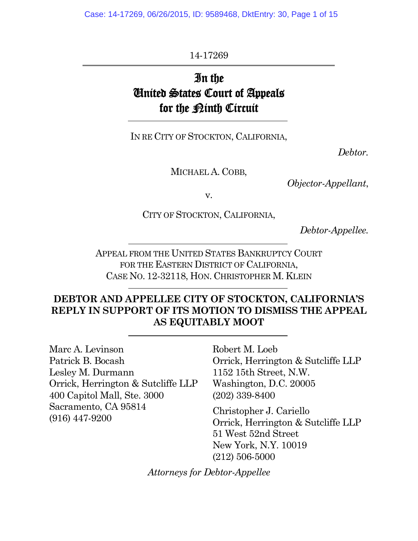Case: 14-17269, 06/26/2015, ID: 9589468, DktEntry: 30, Page 1 of 15

14-17269

# In the United States Court of Appeals for the <u>Pinth</u> Circuit

IN RE CITY OF STOCKTON, CALIFORNIA,

*Debtor.*

MICHAEL A. COBB,

*Objector-Appellant*,

v.

CITY OF STOCKTON, CALIFORNIA,

*Debtor-Appellee.*

APPEAL FROM THE UNITED STATES BANKRUPTCY COURT FOR THE EASTERN DISTRICT OF CALIFORNIA, CASE NO. 12-32118, HON. CHRISTOPHER M. KLEIN

# **DEBTOR AND APPELLEE CITY OF STOCKTON, CALIFORNIA'S REPLY IN SUPPORT OF ITS MOTION TO DISMISS THE APPEAL AS EQUITABLY MOOT**

Marc A. Levinson Patrick B. Bocash Lesley M. Durmann Orrick, Herrington & Sutcliffe LLP 400 Capitol Mall, Ste. 3000 Sacramento, CA 95814 (916) 447-9200

Robert M. Loeb Orrick, Herrington & Sutcliffe LLP 1152 15th Street, N.W. Washington, D.C. 20005 (202) 339-8400

Christopher J. Cariello Orrick, Herrington & Sutcliffe LLP 51 West 52nd Street New York, N.Y. 10019 (212) 506-5000

*Attorneys for Debtor-Appellee*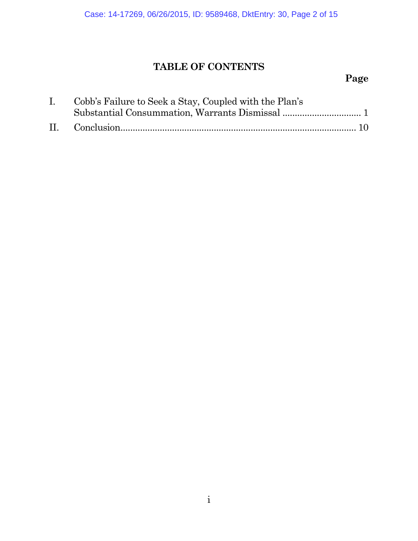# **TABLE OF CONTENTS**

# **Page**

| I. Cobb's Failure to Seek a Stay, Coupled with the Plan's |
|-----------------------------------------------------------|
|                                                           |
|                                                           |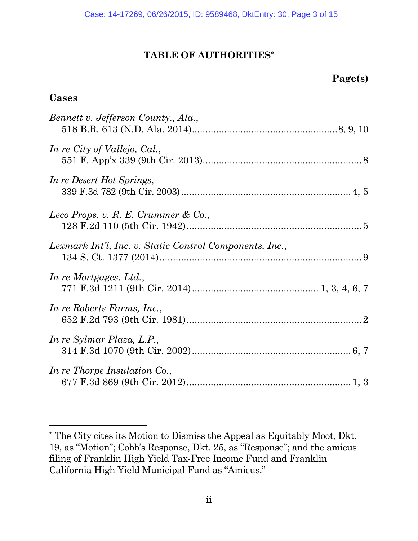## **TABLE OF AUTHORITIES\***

| oe e<br>x<br>u<br>$\sim$ |
|--------------------------|
|--------------------------|

#### **Cases**

| Bennett v. Jefferson County., Ala.,                     |  |
|---------------------------------------------------------|--|
| In re City of Vallejo, Cal.,                            |  |
| In re Desert Hot Springs,                               |  |
| Leco Props. v. R. E. Crummer & Co.,                     |  |
| Lexmark Int'l, Inc. v. Static Control Components, Inc., |  |
| In re Mortgages. Ltd.,                                  |  |
| In re Roberts Farms, Inc.,                              |  |
| In re Sylmar Plaza, L.P.,                               |  |
| In re Thorpe Insulation Co.,                            |  |

<sup>\*</sup> The City cites its Motion to Dismiss the Appeal as Equitably Moot, Dkt. 19, as "Motion"; Cobb's Response, Dkt. 25, as "Response"; and the amicus filing of Franklin High Yield Tax-Free Income Fund and Franklin California High Yield Municipal Fund as "Amicus."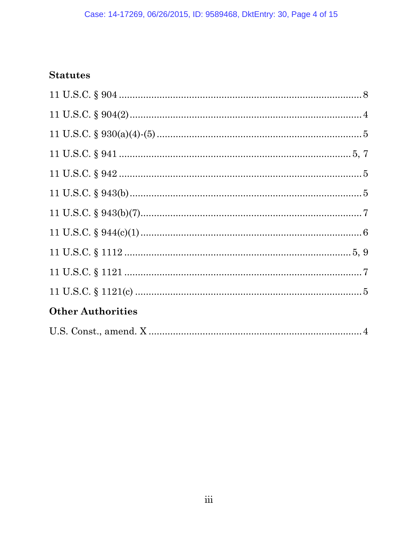# **Statutes**

| <b>Other Authorities</b> |  |  |  |
|--------------------------|--|--|--|
|                          |  |  |  |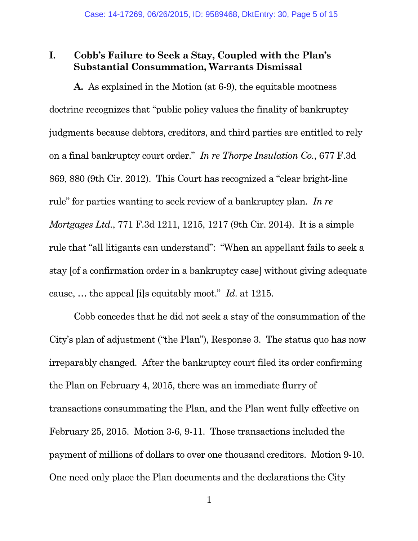## **I. Cobb's Failure to Seek a Stay, Coupled with the Plan's Substantial Consummation, Warrants Dismissal**

**A.** As explained in the Motion (at 6-9), the equitable mootness doctrine recognizes that "public policy values the finality of bankruptcy judgments because debtors, creditors, and third parties are entitled to rely on a final bankruptcy court order." *In re Thorpe Insulation Co.*, 677 F.3d 869, 880 (9th Cir. 2012). This Court has recognized a "clear bright-line rule" for parties wanting to seek review of a bankruptcy plan. *In re Mortgages Ltd.*, 771 F.3d 1211, 1215, 1217 (9th Cir. 2014). It is a simple rule that "all litigants can understand": "When an appellant fails to seek a stay [of a confirmation order in a bankruptcy case] without giving adequate cause, … the appeal [i]s equitably moot." *Id*. at 1215.

Cobb concedes that he did not seek a stay of the consummation of the City's plan of adjustment ("the Plan"), Response 3. The status quo has now irreparably changed. After the bankruptcy court filed its order confirming the Plan on February 4, 2015, there was an immediate flurry of transactions consummating the Plan, and the Plan went fully effective on February 25, 2015. Motion 3-6, 9-11. Those transactions included the payment of millions of dollars to over one thousand creditors. Motion 9-10. One need only place the Plan documents and the declarations the City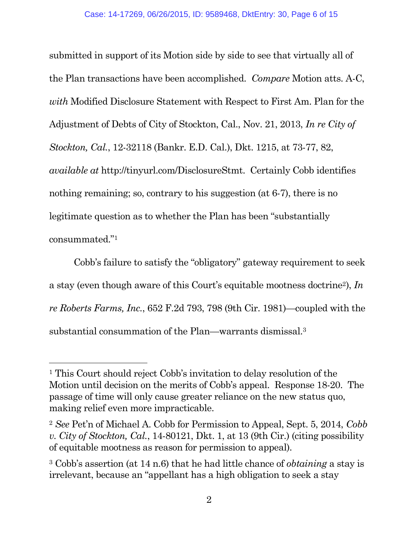submitted in support of its Motion side by side to see that virtually all of the Plan transactions have been accomplished. *Compare* Motion atts. A-C, *with* Modified Disclosure Statement with Respect to First Am. Plan for the Adjustment of Debts of City of Stockton, Cal., Nov. 21, 2013, *In re City of Stockton, Cal.*, 12-32118 (Bankr. E.D. Cal.), Dkt. 1215, at 73-77, 82, *available at* http://tinyurl.com/DisclosureStmt. Certainly Cobb identifies nothing remaining; so, contrary to his suggestion (at 6-7), there is no legitimate question as to whether the Plan has been "substantially consummated."<sup>1</sup>

Cobb's failure to satisfy the "obligatory" gateway requirement to seek a stay (even though aware of this Court's equitable mootness doctrine2), *In re Roberts Farms, Inc.*, 652 F.2d 793, 798 (9th Cir. 1981)—coupled with the substantial consummation of the Plan—warrants dismissal.<sup>3</sup>

<sup>&</sup>lt;sup>1</sup> This Court should reject Cobb's invitation to delay resolution of the Motion until decision on the merits of Cobb's appeal. Response 18-20. The passage of time will only cause greater reliance on the new status quo, making relief even more impracticable.

<sup>2</sup> *See* Pet'n of Michael A. Cobb for Permission to Appeal, Sept. 5, 2014, *Cobb v. City of Stockton, Cal.*, 14-80121, Dkt. 1, at 13 (9th Cir.) (citing possibility of equitable mootness as reason for permission to appeal).

<sup>3</sup> Cobb's assertion (at 14 n.6) that he had little chance of *obtaining* a stay is irrelevant, because an "appellant has a high obligation to seek a stay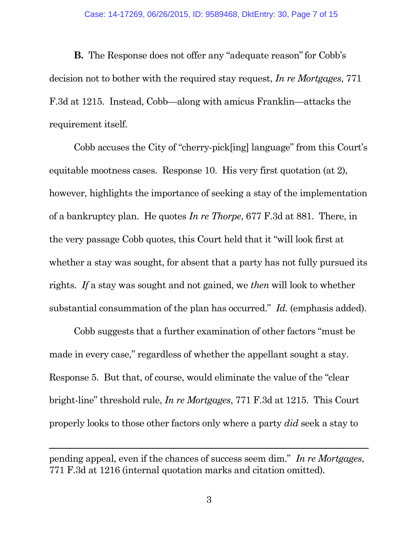**B.** The Response does not offer any "adequate reason" for Cobb's decision not to bother with the required stay request, *In re Mortgages*, 771 F.3d at 1215. Instead, Cobb—along with amicus Franklin—attacks the requirement itself.

Cobb accuses the City of "cherry-pick[ing] language" from this Court's equitable mootness cases. Response 10. His very first quotation (at 2), however, highlights the importance of seeking a stay of the implementation of a bankruptcy plan. He quotes *In re Thorpe*, 677 F.3d at 881. There, in the very passage Cobb quotes, this Court held that it "will look first at whether a stay was sought, for absent that a party has not fully pursued its rights. *If* a stay was sought and not gained, we *then* will look to whether substantial consummation of the plan has occurred." *Id.* (emphasis added).

Cobb suggests that a further examination of other factors "must be made in every case," regardless of whether the appellant sought a stay. Response 5. But that, of course, would eliminate the value of the "clear bright-line" threshold rule, *In re Mortgages*, 771 F.3d at 1215. This Court properly looks to those other factors only where a party *did* seek a stay to

pending appeal, even if the chances of success seem dim." *In re Mortgages*, 771 F.3d at 1216 (internal quotation marks and citation omitted).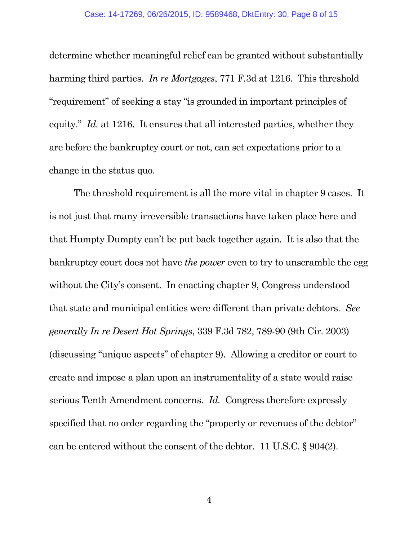determine whether meaningful relief can be granted without substantially harming third parties. *In re Mortgages*, 771 F.3d at 1216. This threshold "requirement" of seeking a stay "is grounded in important principles of equity." *Id.* at 1216. It ensures that all interested parties, whether they are before the bankruptcy court or not, can set expectations prior to a change in the status quo.

The threshold requirement is all the more vital in chapter 9 cases. It is not just that many irreversible transactions have taken place here and that Humpty Dumpty can't be put back together again. It is also that the bankruptcy court does not have *the power* even to try to unscramble the egg without the City's consent. In enacting chapter 9, Congress understood that state and municipal entities were different than private debtors. *See generally In re Desert Hot Springs*, 339 F.3d 782, 789-90 (9th Cir. 2003) (discussing "unique aspects" of chapter 9). Allowing a creditor or court to create and impose a plan upon an instrumentality of a state would raise serious Tenth Amendment concerns. *Id.* Congress therefore expressly specified that no order regarding the "property or revenues of the debtor" can be entered without the consent of the debtor. 11 U.S.C. § 904(2).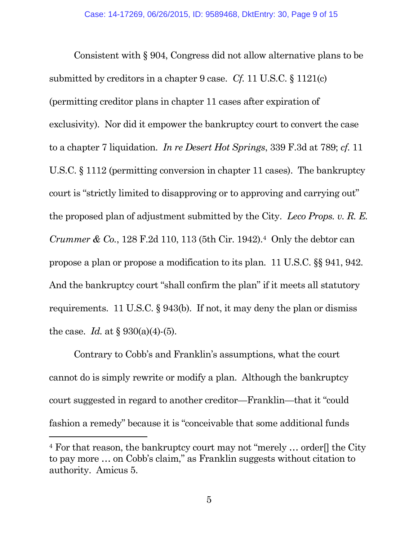Consistent with § 904, Congress did not allow alternative plans to be submitted by creditors in a chapter 9 case. *Cf.* 11 U.S.C. § 1121(c) (permitting creditor plans in chapter 11 cases after expiration of exclusivity). Nor did it empower the bankruptcy court to convert the case to a chapter 7 liquidation. *In re Desert Hot Springs*, 339 F.3d at 789; *cf.* 11 U.S.C. § 1112 (permitting conversion in chapter 11 cases). The bankruptcy court is "strictly limited to disapproving or to approving and carrying out" the proposed plan of adjustment submitted by the City. *Leco Props. v. R. E. Crummer & Co.*, 128 F.2d 110, 113 (5th Cir. 1942).<sup>4</sup> Only the debtor can propose a plan or propose a modification to its plan. 11 U.S.C. §§ 941, 942. And the bankruptcy court "shall confirm the plan" if it meets all statutory requirements. 11 U.S.C. § 943(b). If not, it may deny the plan or dismiss the case. *Id.* at  $\S 930(a)(4)$ -(5).

Contrary to Cobb's and Franklin's assumptions, what the court cannot do is simply rewrite or modify a plan. Although the bankruptcy court suggested in regard to another creditor—Franklin—that it "could fashion a remedy" because it is "conceivable that some additional funds

 $4$  For that reason, the bankruptcy court may not "merely ... order. the City to pay more … on Cobb's claim," as Franklin suggests without citation to authority. Amicus 5.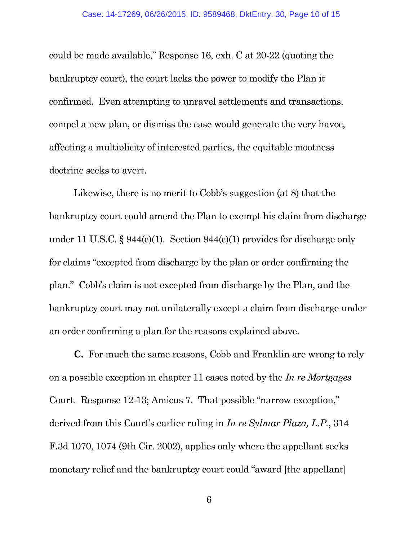could be made available," Response 16, exh. C at 20-22 (quoting the bankruptcy court), the court lacks the power to modify the Plan it confirmed. Even attempting to unravel settlements and transactions, compel a new plan, or dismiss the case would generate the very havoc, affecting a multiplicity of interested parties, the equitable mootness doctrine seeks to avert.

Likewise, there is no merit to Cobb's suggestion (at 8) that the bankruptcy court could amend the Plan to exempt his claim from discharge under 11 U.S.C. § 944(c)(1). Section 944(c)(1) provides for discharge only for claims "excepted from discharge by the plan or order confirming the plan." Cobb's claim is not excepted from discharge by the Plan, and the bankruptcy court may not unilaterally except a claim from discharge under an order confirming a plan for the reasons explained above.

**C.** For much the same reasons, Cobb and Franklin are wrong to rely on a possible exception in chapter 11 cases noted by the *In re Mortgages* Court. Response 12-13; Amicus 7. That possible "narrow exception," derived from this Court's earlier ruling in *In re Sylmar Plaza, L.P.*, 314 F.3d 1070, 1074 (9th Cir. 2002), applies only where the appellant seeks monetary relief and the bankruptcy court could "award [the appellant]

6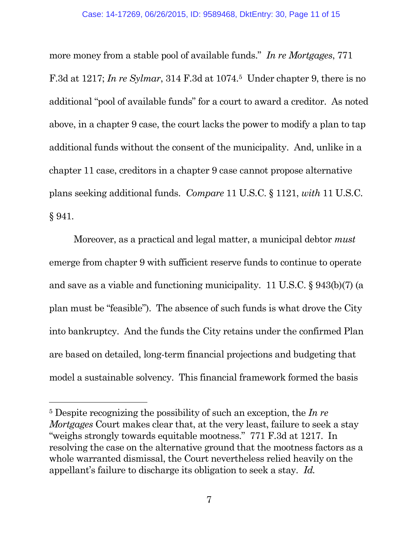more money from a stable pool of available funds." *In re Mortgages*, 771 F.3d at 1217; *In re Sylmar*, 314 F.3d at 1074.<sup>5</sup> Under chapter 9, there is no additional "pool of available funds" for a court to award a creditor. As noted above, in a chapter 9 case, the court lacks the power to modify a plan to tap additional funds without the consent of the municipality. And, unlike in a chapter 11 case, creditors in a chapter 9 case cannot propose alternative plans seeking additional funds. *Compare* 11 U.S.C. § 1121, *with* 11 U.S.C. § 941.

Moreover, as a practical and legal matter, a municipal debtor *must* emerge from chapter 9 with sufficient reserve funds to continue to operate and save as a viable and functioning municipality. 11 U.S.C. § 943(b)(7) (a plan must be "feasible"). The absence of such funds is what drove the City into bankruptcy. And the funds the City retains under the confirmed Plan are based on detailed, long-term financial projections and budgeting that model a sustainable solvency. This financial framework formed the basis

<sup>5</sup> Despite recognizing the possibility of such an exception, the *In re Mortgages* Court makes clear that, at the very least, failure to seek a stay "weighs strongly towards equitable mootness." 771 F.3d at 1217. In resolving the case on the alternative ground that the mootness factors as a whole warranted dismissal, the Court nevertheless relied heavily on the appellant's failure to discharge its obligation to seek a stay. *Id.*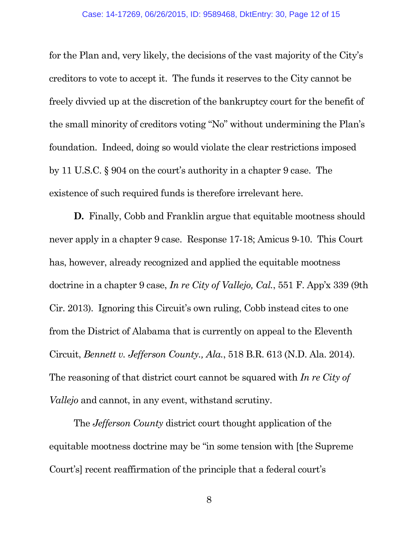for the Plan and, very likely, the decisions of the vast majority of the City's creditors to vote to accept it. The funds it reserves to the City cannot be freely divvied up at the discretion of the bankruptcy court for the benefit of the small minority of creditors voting "No" without undermining the Plan's foundation. Indeed, doing so would violate the clear restrictions imposed by 11 U.S.C. § 904 on the court's authority in a chapter 9 case. The existence of such required funds is therefore irrelevant here.

**D.** Finally, Cobb and Franklin argue that equitable mootness should never apply in a chapter 9 case. Response 17-18; Amicus 9-10. This Court has, however, already recognized and applied the equitable mootness doctrine in a chapter 9 case, *In re City of Vallejo, Cal.*, 551 F. App'x 339 (9th Cir. 2013). Ignoring this Circuit's own ruling, Cobb instead cites to one from the District of Alabama that is currently on appeal to the Eleventh Circuit, *Bennett v. Jefferson County., Ala.*, 518 B.R. 613 (N.D. Ala. 2014). The reasoning of that district court cannot be squared with *In re City of Vallejo* and cannot, in any event, withstand scrutiny.

The *Jefferson County* district court thought application of the equitable mootness doctrine may be "in some tension with [the Supreme Court's] recent reaffirmation of the principle that a federal court's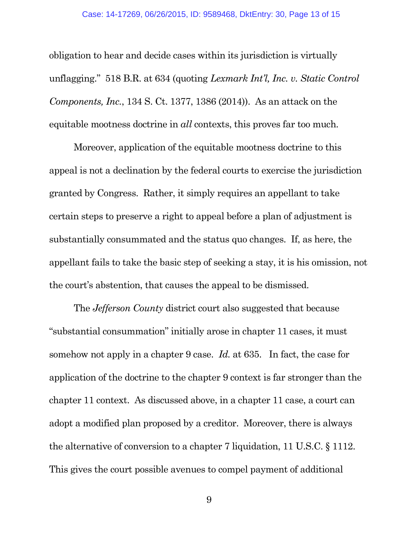obligation to hear and decide cases within its jurisdiction is virtually unflagging." 518 B.R. at 634 (quoting *Lexmark Int'l, Inc. v. Static Control Components, Inc.*, 134 S. Ct. 1377, 1386 (2014)). As an attack on the equitable mootness doctrine in *all* contexts, this proves far too much.

Moreover, application of the equitable mootness doctrine to this appeal is not a declination by the federal courts to exercise the jurisdiction granted by Congress. Rather, it simply requires an appellant to take certain steps to preserve a right to appeal before a plan of adjustment is substantially consummated and the status quo changes. If, as here, the appellant fails to take the basic step of seeking a stay, it is his omission, not the court's abstention, that causes the appeal to be dismissed.

The *Jefferson County* district court also suggested that because "substantial consummation" initially arose in chapter 11 cases, it must somehow not apply in a chapter 9 case. *Id.* at 635. In fact, the case for application of the doctrine to the chapter 9 context is far stronger than the chapter 11 context. As discussed above, in a chapter 11 case, a court can adopt a modified plan proposed by a creditor. Moreover, there is always the alternative of conversion to a chapter 7 liquidation, 11 U.S.C. § 1112. This gives the court possible avenues to compel payment of additional

9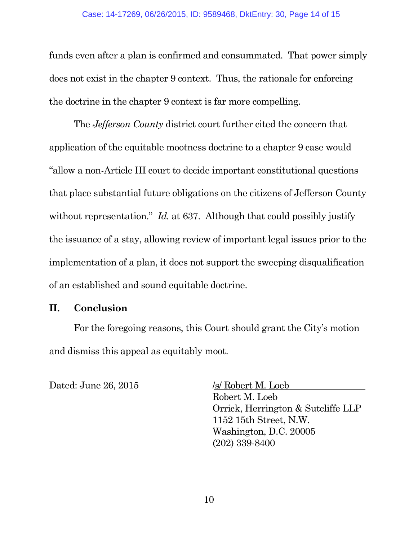funds even after a plan is confirmed and consummated. That power simply does not exist in the chapter 9 context. Thus, the rationale for enforcing the doctrine in the chapter 9 context is far more compelling.

The *Jefferson County* district court further cited the concern that application of the equitable mootness doctrine to a chapter 9 case would "allow a non-Article III court to decide important constitutional questions that place substantial future obligations on the citizens of Jefferson County without representation." *Id.* at 637. Although that could possibly justify the issuance of a stay, allowing review of important legal issues prior to the implementation of a plan, it does not support the sweeping disqualification of an established and sound equitable doctrine.

### **II. Conclusion**

For the foregoing reasons, this Court should grant the City's motion and dismiss this appeal as equitably moot.

Dated: June 26, 2015 /s/ Robert M. Loeb

Robert M. Loeb Orrick, Herrington & Sutcliffe LLP 1152 15th Street, N.W. Washington, D.C. 20005 (202) 339-8400